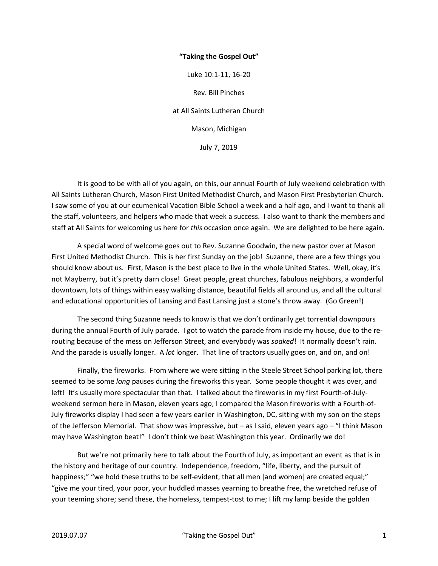## **"Taking the Gospel Out"**

Luke 10:1-11, 16-20

Rev. Bill Pinches at All Saints Lutheran Church Mason, Michigan

July 7, 2019

 It is good to be with all of you again, on this, our annual Fourth of July weekend celebration with All Saints Lutheran Church, Mason First United Methodist Church, and Mason First Presbyterian Church. I saw some of you at our ecumenical Vacation Bible School a week and a half ago, and I want to thank all the staff, volunteers, and helpers who made that week a success. I also want to thank the members and staff at All Saints for welcoming us here for *this* occasion once again. We are delighted to be here again.

 A special word of welcome goes out to Rev. Suzanne Goodwin, the new pastor over at Mason First United Methodist Church. This is her first Sunday on the job! Suzanne, there are a few things you should know about us. First, Mason is the best place to live in the whole United States. Well, okay, it's not Mayberry, but it's pretty darn close! Great people, great churches, fabulous neighbors, a wonderful downtown, lots of things within easy walking distance, beautiful fields all around us, and all the cultural and educational opportunities of Lansing and East Lansing just a stone's throw away. (Go Green!)

 The second thing Suzanne needs to know is that we don't ordinarily get torrential downpours during the annual Fourth of July parade. I got to watch the parade from inside my house, due to the rerouting because of the mess on Jefferson Street, and everybody was *soaked*! It normally doesn't rain. And the parade is usually longer. A *lot* longer. That line of tractors usually goes on, and on, and on!

 Finally, the fireworks. From where we were sitting in the Steele Street School parking lot, there seemed to be some *long* pauses during the fireworks this year. Some people thought it was over, and left! It's usually more spectacular than that. I talked about the fireworks in my first Fourth-of-Julyweekend sermon here in Mason, eleven years ago; I compared the Mason fireworks with a Fourth-of-July fireworks display I had seen a few years earlier in Washington, DC, sitting with my son on the steps of the Jefferson Memorial. That show was impressive, but – as I said, eleven years ago – "I think Mason may have Washington beat!" I don't think we beat Washington this year. Ordinarily we do!

 But we're not primarily here to talk about the Fourth of July, as important an event as that is in the history and heritage of our country. Independence, freedom, "life, liberty, and the pursuit of happiness;" "we hold these truths to be self-evident, that all men [and women] are created equal;" "give me your tired, your poor, your huddled masses yearning to breathe free, the wretched refuse of your teeming shore; send these, the homeless, tempest-tost to me; I lift my lamp beside the golden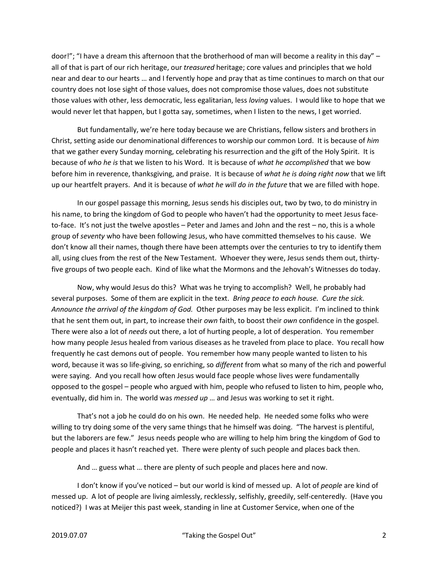door!"; "I have a dream this afternoon that the brotherhood of man will become a reality in this day" – all of that is part of our rich heritage, our *treasured* heritage; core values and principles that we hold near and dear to our hearts … and I fervently hope and pray that as time continues to march on that our country does not lose sight of those values, does not compromise those values, does not substitute those values with other, less democratic, less egalitarian, less *loving* values. I would like to hope that we would never let that happen, but I gotta say, sometimes, when I listen to the news, I get worried.

 But fundamentally, we're here today because we are Christians, fellow sisters and brothers in Christ, setting aside our denominational differences to worship our common Lord. It is because of *him* that we gather every Sunday morning, celebrating his resurrection and the gift of the Holy Spirit. It is because of *who he is* that we listen to his Word. It is because of *what he accomplished* that we bow before him in reverence, thanksgiving, and praise. It is because of *what he is doing right now* that we lift up our heartfelt prayers. And it is because of *what he will do in the future* that we are filled with hope.

 In our gospel passage this morning, Jesus sends his disciples out, two by two, to do ministry in his name, to bring the kingdom of God to people who haven't had the opportunity to meet Jesus faceto-face. It's not just the twelve apostles – Peter and James and John and the rest – no, this is a whole group of *seventy* who have been following Jesus, who have committed themselves to his cause. We don't know all their names, though there have been attempts over the centuries to try to identify them all, using clues from the rest of the New Testament. Whoever they were, Jesus sends them out, thirtyfive groups of two people each. Kind of like what the Mormons and the Jehovah's Witnesses do today.

 Now, why would Jesus do this? What was he trying to accomplish? Well, he probably had several purposes. Some of them are explicit in the text. *Bring peace to each house. Cure the sick. Announce the arrival of the kingdom of God.* Other purposes may be less explicit. I'm inclined to think that he sent them out, in part, to increase their *own* faith, to boost their *own* confidence in the gospel. There were also a lot of *needs* out there, a lot of hurting people, a lot of desperation. You remember how many people Jesus healed from various diseases as he traveled from place to place. You recall how frequently he cast demons out of people. You remember how many people wanted to listen to his word, because it was so life-giving, so enriching, so *different* from what so many of the rich and powerful were saying. And you recall how often Jesus would face people whose lives were fundamentally opposed to the gospel – people who argued with him, people who refused to listen to him, people who, eventually, did him in. The world was *messed up* … and Jesus was working to set it right.

 That's not a job he could do on his own. He needed help. He needed some folks who were willing to try doing some of the very same things that he himself was doing. "The harvest is plentiful, but the laborers are few." Jesus needs people who are willing to help him bring the kingdom of God to people and places it hasn't reached yet. There were plenty of such people and places back then.

And … guess what … there are plenty of such people and places here and now.

 I don't know if you've noticed – but our world is kind of messed up. A lot of *people* are kind of messed up. A lot of people are living aimlessly, recklessly, selfishly, greedily, self-centeredly. (Have you noticed?) I was at Meijer this past week, standing in line at Customer Service, when one of the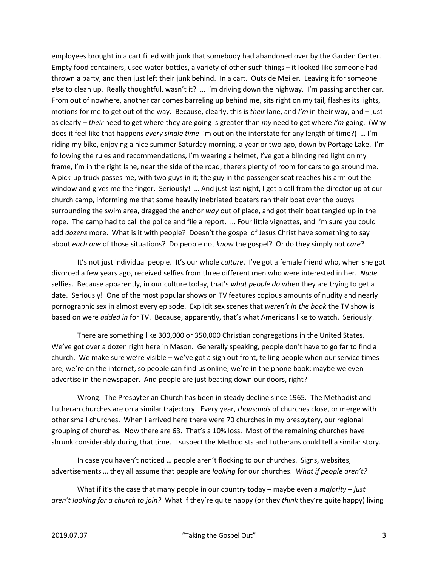employees brought in a cart filled with junk that somebody had abandoned over by the Garden Center. Empty food containers, used water bottles, a variety of other such things – it looked like someone had thrown a party, and then just left their junk behind. In a cart. Outside Meijer. Leaving it for someone *else* to clean up. Really thoughtful, wasn't it? … I'm driving down the highway. I'm passing another car. From out of nowhere, another car comes barreling up behind me, sits right on my tail, flashes its lights, motions for me to get out of the way. Because, clearly, this is *their* lane, and *I'm* in their way, and – just as clearly – *their* need to get where they are going is greater than *my* need to get where *I'm* going. (Why does it feel like that happens *every single time* I'm out on the interstate for any length of time?) … I'm riding my bike, enjoying a nice summer Saturday morning, a year or two ago, down by Portage Lake. I'm following the rules and recommendations, I'm wearing a helmet, I've got a blinking red light on my frame, I'm in the right lane, near the side of the road; there's plenty of room for cars to go around me. A pick-up truck passes me, with two guys in it; the guy in the passenger seat reaches his arm out the window and gives me the finger. Seriously! ... And just last night, I get a call from the director up at our church camp, informing me that some heavily inebriated boaters ran their boat over the buoys surrounding the swim area, dragged the anchor *way* out of place, and got their boat tangled up in the rope. The camp had to call the police and file a report. … Four little vignettes, and I'm sure you could add *dozens* more. What is it with people? Doesn't the gospel of Jesus Christ have something to say about *each one* of those situations? Do people not *know* the gospel? Or do they simply not *care*?

 It's not just individual people. It's our whole *culture*. I've got a female friend who, when she got divorced a few years ago, received selfies from three different men who were interested in her. *Nude* selfies. Because apparently, in our culture today, that's *what people do* when they are trying to get a date. Seriously! One of the most popular shows on TV features copious amounts of nudity and nearly pornographic sex in almost every episode. Explicit sex scenes that *weren't in the book* the TV show is based on were *added in* for TV. Because, apparently, that's what Americans like to watch. Seriously!

 There are something like 300,000 or 350,000 Christian congregations in the United States. We've got over a dozen right here in Mason. Generally speaking, people don't have to go far to find a church. We make sure we're visible – we've got a sign out front, telling people when our service times are; we're on the internet, so people can find us online; we're in the phone book; maybe we even advertise in the newspaper. And people are just beating down our doors, right?

 Wrong. The Presbyterian Church has been in steady decline since 1965. The Methodist and Lutheran churches are on a similar trajectory. Every year, *thousands* of churches close, or merge with other small churches. When I arrived here there were 70 churches in my presbytery, our regional grouping of churches. Now there are 63. That's a 10% loss. Most of the remaining churches have shrunk considerably during that time. I suspect the Methodists and Lutherans could tell a similar story.

 In case you haven't noticed … people aren't flocking to our churches. Signs, websites, advertisements … they all assume that people are *looking* for our churches. *What if people aren't?*

 What if it's the case that many people in our country today – maybe even a *majority* – *just aren't looking for a church to join?* What if they're quite happy (or they *think* they're quite happy) living